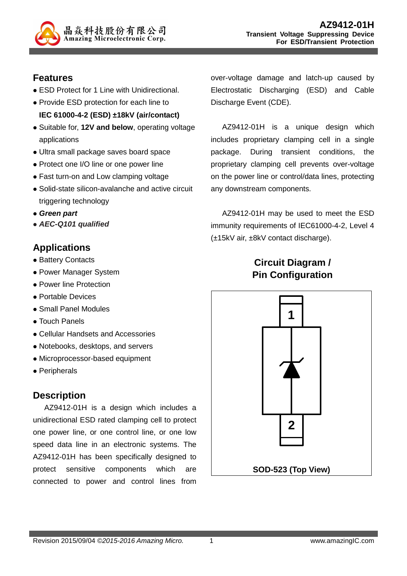

#### **Features**

- ESD Protect for 1 Line with Unidirectional.
- Provide ESD protection for each line to **IEC 61000-4-2 (ESD) ±18kV (air/contact)**
- Suitable for, **12V and below**, operating voltage applications
- Ultra small package saves board space
- Protect one I/O line or one power line
- Fast turn-on and Low clamping voltage
- Solid-state silicon-avalanche and active circuit triggering technology
- **Green part**
- **AEC-Q101 qualified**

### **Applications**

- Battery Contacts
- Power Manager System
- Power line Protection
- Portable Devices
- Small Panel Modules
- Touch Panels
- Cellular Handsets and Accessories
- Notebooks, desktops, and servers
- Microprocessor-based equipment
- Peripherals

#### **Description**

AZ9412-01H is a design which includes a unidirectional ESD rated clamping cell to protect one power line, or one control line, or one low speed data line in an electronic systems. The AZ9412-01H has been specifically designed to protect sensitive components which are connected to power and control lines from

over-voltage damage and latch-up caused by Electrostatic Discharging (ESD) and Cable Discharge Event (CDE).

AZ9412-01H is a unique design which includes proprietary clamping cell in a single package. During transient conditions, the proprietary clamping cell prevents over-voltage on the power line or control/data lines, protecting any downstream components.

AZ9412-01H may be used to meet the ESD immunity requirements of IEC61000-4-2, Level 4 (±15kV air, ±8kV contact discharge).

# **Circuit Diagram / Pin Configuration**

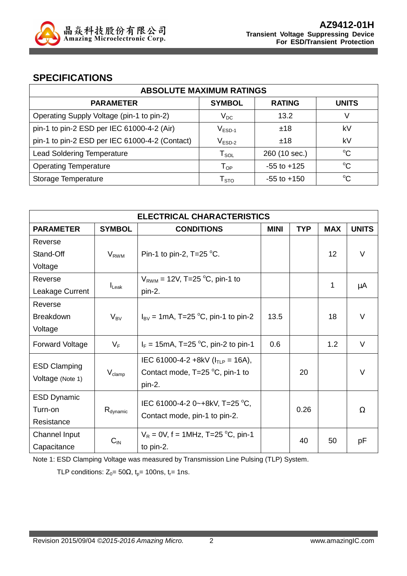

#### **SPECIFICATIONS**

| <b>ABSOLUTE MAXIMUM RATINGS</b>                |                            |                 |              |  |
|------------------------------------------------|----------------------------|-----------------|--------------|--|
| <b>PARAMETER</b>                               | <b>SYMBOL</b>              | <b>RATING</b>   | <b>UNITS</b> |  |
| Operating Supply Voltage (pin-1 to pin-2)      | $V_{DC}$                   | 13.2            | V            |  |
| pin-1 to pin-2 ESD per IEC 61000-4-2 (Air)     | $V_{ESD-1}$                | ±18             | kV           |  |
| pin-1 to pin-2 ESD per IEC 61000-4-2 (Contact) | $V_{ESD-2}$                | ±18             | kV           |  |
| <b>Lead Soldering Temperature</b>              | ${\sf T}_{\sf SOL}$        | 260 (10 sec.)   | $^{\circ}C$  |  |
| <b>Operating Temperature</b>                   | $\mathsf{T}_{\mathsf{OP}}$ | $-55$ to $+125$ | $^{\circ}C$  |  |
| Storage Temperature                            | ${\mathsf T}_{\text{STO}}$ | $-55$ to $+150$ | $^{\circ}C$  |  |

| <b>ELECTRICAL CHARACTERISTICS</b>       |                      |                                                                                               |             |            |            |              |
|-----------------------------------------|----------------------|-----------------------------------------------------------------------------------------------|-------------|------------|------------|--------------|
| <b>PARAMETER</b>                        | <b>SYMBOL</b>        | <b>CONDITIONS</b>                                                                             | <b>MINI</b> | <b>TYP</b> | <b>MAX</b> | <b>UNITS</b> |
| Reverse                                 |                      |                                                                                               |             |            |            |              |
| Stand-Off                               | $V_{RWM}$            | Pin-1 to pin-2, $T=25$ °C.                                                                    |             |            | 12         | $\vee$       |
| Voltage                                 |                      |                                                                                               |             |            |            |              |
| Reverse                                 |                      | $V_{RWM}$ = 12V, T=25 °C, pin-1 to                                                            |             |            |            |              |
| Leakage Current                         | $I_{\text{Leak}}$    | pin-2.                                                                                        |             |            | 1          | μA           |
| Reverse                                 |                      |                                                                                               |             |            |            |              |
| <b>Breakdown</b>                        | $V_{BV}$             | $I_{\text{BV}}$ = 1mA, T=25 °C, pin-1 to pin-2                                                | 13.5        |            | 18         | $\vee$       |
| Voltage                                 |                      |                                                                                               |             |            |            |              |
| Forward Voltage                         | $V_F$                | $I_F = 15 \text{mA}$ , T=25 °C, pin-2 to pin-1                                                | 0.6         |            | 1.2        | V            |
| <b>ESD Clamping</b><br>Voltage (Note 1) | $V_{\text{clamp}}$   | IEC 61000-4-2 +8kV ( $I_{TLP}$ = 16A),<br>Contact mode, $T=25\text{ °C}$ , pin-1 to<br>pin-2. |             | 20         |            | $\vee$       |
| <b>ESD Dynamic</b>                      |                      | IEC 61000-4-2 0~+8kV, T=25 °C,                                                                |             |            |            |              |
| Turn-on                                 | R <sub>dynamic</sub> | Contact mode, pin-1 to pin-2.                                                                 |             | 0.26       |            | Ω            |
| Resistance                              |                      |                                                                                               |             |            |            |              |
| Channel Input                           |                      | $V_R = 0V$ , f = 1MHz, T=25 °C, pin-1                                                         |             | 40         | 50         |              |
| Capacitance                             | $C_{IN}$             | to pin-2.                                                                                     |             |            |            | рF           |

Note 1: ESD Clamping Voltage was measured by Transmission Line Pulsing (TLP) System.

TLP conditions:  $Z_0 = 50\Omega$ ,  $t_p = 100$ ns,  $t_r = 1$ ns.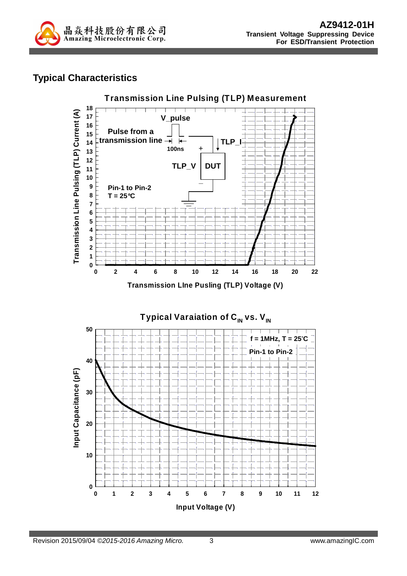

### **Typical Characteristics**



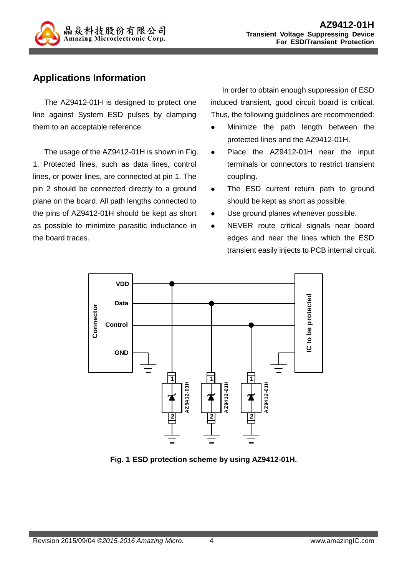

### **Applications Information**

The AZ9412-01H is designed to protect one line against System ESD pulses by clamping them to an acceptable reference.

The usage of the AZ9412-01H is shown in Fig. 1. Protected lines, such as data lines, control lines, or power lines, are connected at pin 1. The pin 2 should be connected directly to a ground plane on the board. All path lengths connected to the pins of AZ9412-01H should be kept as short as possible to minimize parasitic inductance in the board traces.

In order to obtain enough suppression of ESD induced transient, good circuit board is critical. Thus, the following guidelines are recommended:

- Minimize the path length between the protected lines and the AZ9412-01H.
- Place the AZ9412-01H near the input terminals or connectors to restrict transient coupling.
- The ESD current return path to ground should be kept as short as possible.
- Use ground planes whenever possible.
- NEVER route critical signals near board edges and near the lines which the ESD transient easily injects to PCB internal circuit.



**Fig. 1 ESD protection scheme by using AZ9412-01H.**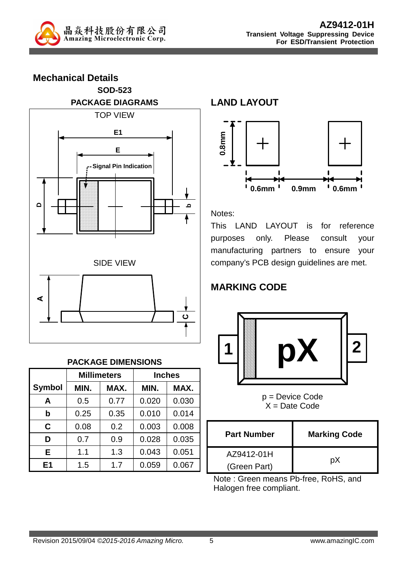

**Mechanical Details SOD-523 PACKAGE DIAGRAMS**  TOP VIEW **DbE E1 Signal Pin Indication** SIDE VIEW **A C**

#### **PACKAGE DIMENSIONS**

|                |      | <b>Millimeters</b> | <b>Inches</b> |       |  |
|----------------|------|--------------------|---------------|-------|--|
| <b>Symbol</b>  | MIN. | MAX.               | MIN.          | MAX.  |  |
| A              | 0.5  | 0.77               | 0.020         | 0.030 |  |
| b              | 0.25 | 0.35               | 0.010         | 0.014 |  |
| C              | 0.08 | 0.2                | 0.003         | 0.008 |  |
| D              | 0.7  | 0.9                | 0.028         | 0.035 |  |
| Е              | 1.1  | 1.3                | 0.043         | 0.051 |  |
| E <sub>1</sub> | 1.5  | 1.7                | 0.059         | 0.067 |  |

**LAND LAYOUT**



Notes:

This LAND LAYOUT is for reference purposes only. Please consult your manufacturing partners to ensure your company's PCB design guidelines are met.

# **MARKING CODE**



p = Device Code  $X = Date Code$ 

| <b>Part Number</b> | <b>Marking Code</b> |  |
|--------------------|---------------------|--|
| AZ9412-01H         |                     |  |
| (Green Part)       | pХ                  |  |

Note : Green means Pb-free, RoHS, and Halogen free compliant.